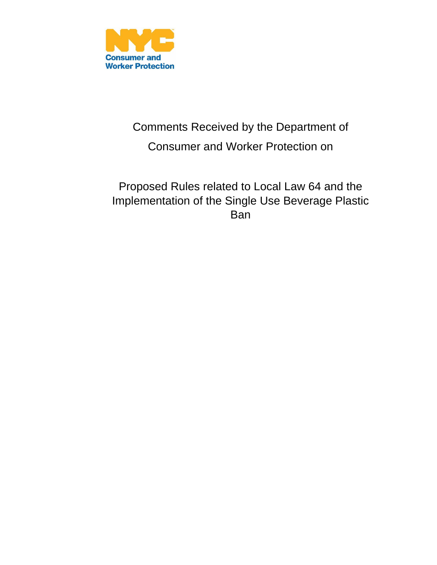

# Comments Received by the Department of Consumer and Worker Protection on

## Proposed Rules related to Local Law 64 and the Implementation of the Single Use Beverage Plastic Ban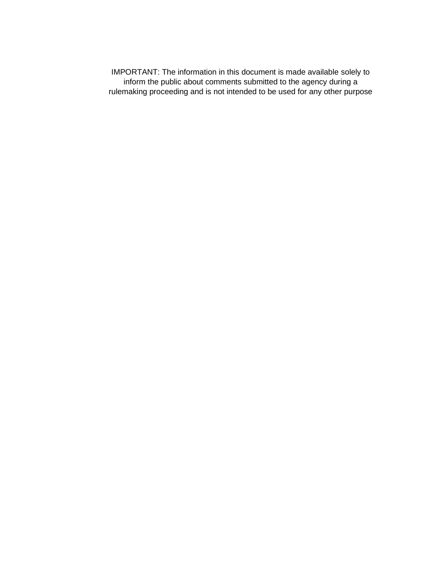IMPORTANT: The information in this document is made available solely to inform the public about comments submitted to the agency during a rulemaking proceeding and is not intended to be used for any other purpose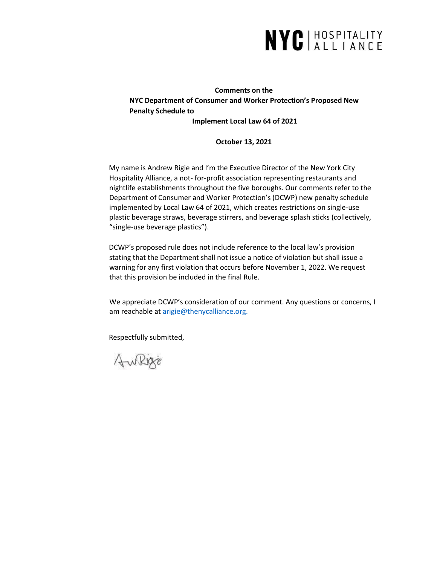

### **Comments on the NYC Department of Consumer and Worker Protection's Proposed New Penalty Schedule to Implement Local Law 64 of 2021**

### **October 13, 2021**

My name is Andrew Rigie and I'm the Executive Director of the New York City Hospitality Alliance, a not- for-profit association representing restaurants and nightlife establishments throughout the five boroughs. Our comments refer to the Department of Consumer and Worker Protection's (DCWP) new penalty schedule implemented by Local Law 64 of 2021, which creates restrictions on single-use plastic beverage straws, beverage stirrers, and beverage splash sticks (collectively, "single-use beverage plastics").

DCWP's proposed rule does not include reference to the local law's provision stating that the Department shall not issue a notice of violation but shall issue a warning for any first violation that occurs before November 1, 2022. We request that this provision be included in the final Rule.

We appreciate DCWP's consideration of our comment. Any questions or concerns, I am reachable at arigie@thenycalliance.org.

Respectfully submitted,

AwRige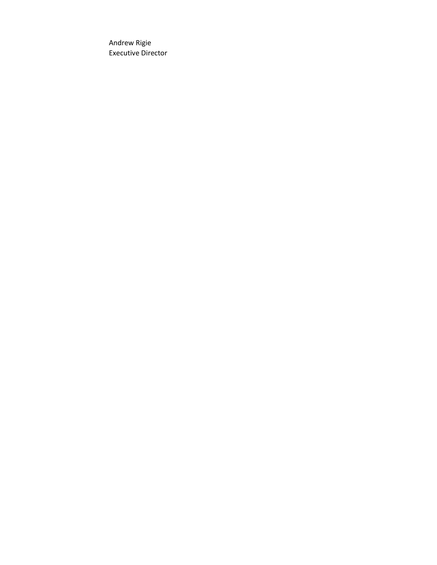Andrew Rigie Executive Director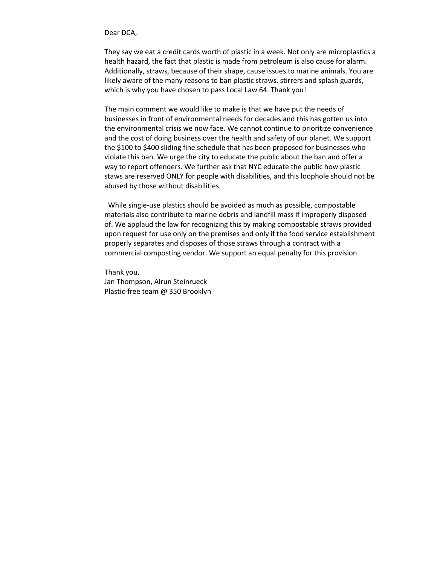#### Dear DCA,

They say we eat a credit cards worth of plastic in a week. Not only are microplastics a health hazard, the fact that plastic is made from petroleum is also cause for alarm. Additionally, straws, because of their shape, cause issues to marine animals. You are likely aware of the many reasons to ban plastic straws, stirrers and splash guards, which is why you have chosen to pass Local Law 64. Thank you!

The main comment we would like to make is that we have put the needs of businesses in front of environmental needs for decades and this has gotten us into the environmental crisis we now face. We cannot continue to prioritize convenience and the cost of doing business over the health and safety of our planet. We support the \$100 to \$400 sliding fine schedule that has been proposed for businesses who violate this ban. We urge the city to educate the public about the ban and offer a way to report offenders. We further ask that NYC educate the public how plastic staws are reserved ONLY for people with disabilities, and this loophole should not be abused by those without disabilities.

 While single-use plastics should be avoided as much as possible, compostable materials also contribute to marine debris and landfill mass if improperly disposed of. We applaud the law for recognizing this by making compostable straws provided upon request for use only on the premises and only if the food service establishment properly separates and disposes of those straws through a contract with a commercial composting vendor. We support an equal penalty for this provision.

Thank you, Jan Thompson, Alrun Steinrueck Plastic-free team @ 350 Brooklyn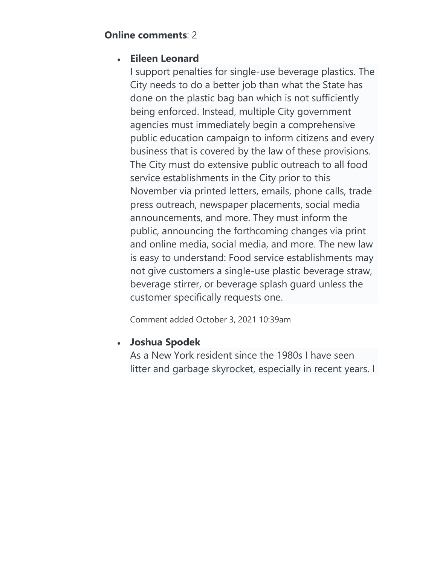### **Online comments**: 2

### • **Eileen Leonard**

I support penalties for single-use beverage plastics. The City needs to do a better job than what the State has done on the plastic bag ban which is not sufficiently being enforced. Instead, multiple City government agencies must immediately begin a comprehensive public education campaign to inform citizens and every business that is covered by the law of these provisions. The City must do extensive public outreach to all food service establishments in the City prior to this November via printed letters, emails, phone calls, trade press outreach, newspaper placements, social media announcements, and more. They must inform the public, announcing the forthcoming changes via print and online media, social media, and more. The new law is easy to understand: Food service establishments may not give customers a single-use plastic beverage straw, beverage stirrer, or beverage splash guard unless the customer specifically requests one.

Comment added October 3, 2021 10:39am

### • **Joshua Spodek**

As a New York resident since the 1980s I have seen litter and garbage skyrocket, especially in recent years. I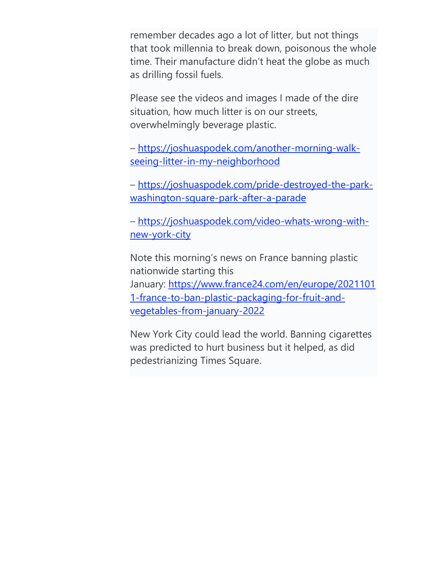remember decades ago a lot of litter, but not things that took millennia to break down, poisonous the whole time. Their manufacture didn't heat the globe as much as drilling fossil fuels.

Please see the videos and images I made of the dire situation, how much litter is on our streets, overwhelmingly beverage plastic.

– [https://joshuaspodek.com/another-morning-walk](https://joshuaspodek.com/another-morning-walk-seeing-litter-in-my-neighborhood)[seeing-litter-in-my-neighborhood](https://joshuaspodek.com/another-morning-walk-seeing-litter-in-my-neighborhood)

– [https://joshuaspodek.com/pride-destroyed-the-park](https://joshuaspodek.com/pride-destroyed-the-park-washington-square-park-after-a-parade)[washington-square-park-after-a-parade](https://joshuaspodek.com/pride-destroyed-the-park-washington-square-park-after-a-parade)

– [https://joshuaspodek.com/video-whats-wrong-with](https://joshuaspodek.com/video-whats-wrong-with-new-york-city)[new-york-city](https://joshuaspodek.com/video-whats-wrong-with-new-york-city)

Note this morning's news on France banning plastic nationwide starting this January: [https://www.france24.com/en/europe/2021101](https://www.france24.com/en/europe/20211011-france-to-ban-plastic-packaging-for-fruit-and-vegetables-from-january-2022) [1-france-to-ban-plastic-packaging-for-fruit-and](https://www.france24.com/en/europe/20211011-france-to-ban-plastic-packaging-for-fruit-and-vegetables-from-january-2022)[vegetables-from-january-2022](https://www.france24.com/en/europe/20211011-france-to-ban-plastic-packaging-for-fruit-and-vegetables-from-january-2022)

New York City could lead the world. Banning cigarettes was predicted to hurt business but it helped, as did pedestrianizing Times Square.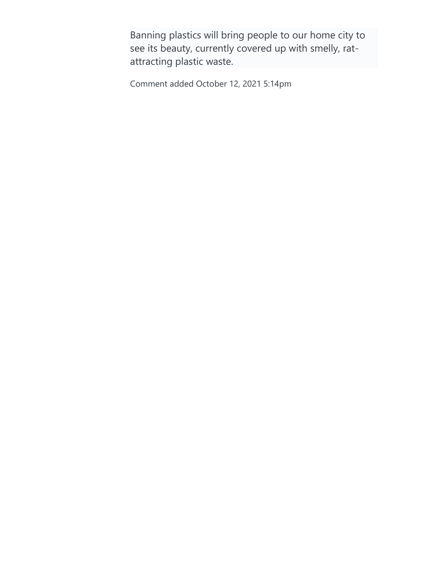Banning plastics will bring people to our home city to see its beauty, currently covered up with smelly, ratattracting plastic waste.

Comment added October 12, 2021 5:14pm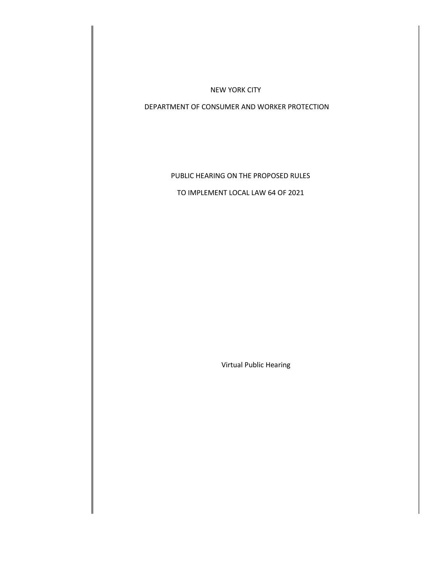#### NEW YORK CITY

#### DEPARTMENT OF CONSUMER AND WORKER PROTECTION

PUBLIC HEARING ON THE PROPOSED RULES

TO IMPLEMENT LOCAL LAW 64 OF 2021

Virtual Public Hearing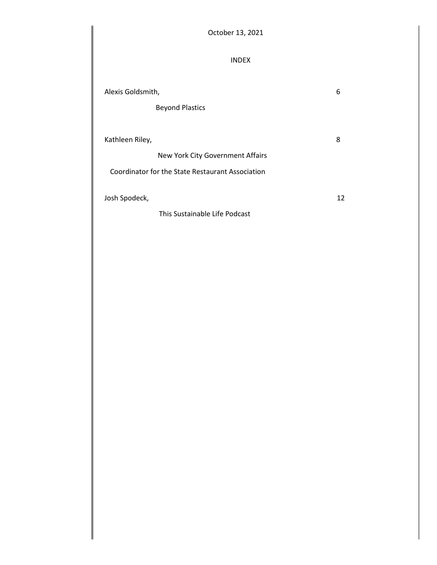| October 13, 2021                                 |    |
|--------------------------------------------------|----|
| <b>INDEX</b>                                     |    |
| Alexis Goldsmith,                                | 6  |
| <b>Beyond Plastics</b>                           |    |
| Kathleen Riley,                                  | 8  |
| New York City Government Affairs                 |    |
| Coordinator for the State Restaurant Association |    |
| Josh Spodeck,                                    | 12 |
| This Sustainable Life Podcast                    |    |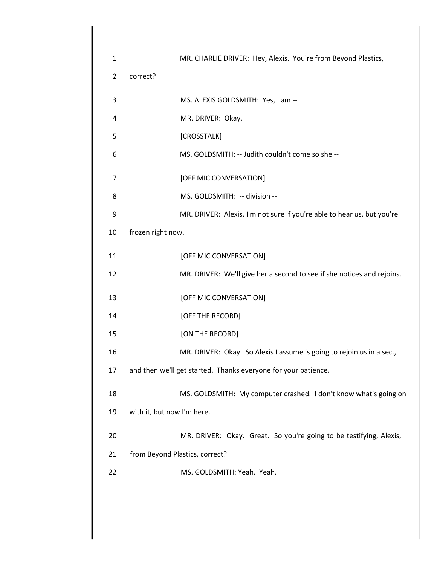| 1              |                            | MR. CHARLIE DRIVER: Hey, Alexis. You're from Beyond Plastics,          |
|----------------|----------------------------|------------------------------------------------------------------------|
| $\overline{2}$ | correct?                   |                                                                        |
|                |                            |                                                                        |
| 3              |                            | MS. ALEXIS GOLDSMITH: Yes, I am --                                     |
| 4              |                            | MR. DRIVER: Okay.                                                      |
| 5              |                            | [CROSSTALK]                                                            |
| 6              |                            | MS. GOLDSMITH: -- Judith couldn't come so she --                       |
| 7              |                            | [OFF MIC CONVERSATION]                                                 |
| 8              |                            | MS. GOLDSMITH: -- division --                                          |
| 9              |                            | MR. DRIVER: Alexis, I'm not sure if you're able to hear us, but you're |
| 10             | frozen right now.          |                                                                        |
| 11             |                            | [OFF MIC CONVERSATION]                                                 |
| 12             |                            | MR. DRIVER: We'll give her a second to see if she notices and rejoins. |
| 13             |                            | [OFF MIC CONVERSATION]                                                 |
| 14             |                            | [OFF THE RECORD]                                                       |
| 15             |                            | [ON THE RECORD]                                                        |
| 16             |                            | MR. DRIVER: Okay. So Alexis I assume is going to rejoin us in a sec.,  |
| 17             |                            | and then we'll get started. Thanks everyone for your patience.         |
| 18             |                            | MS. GOLDSMITH: My computer crashed. I don't know what's going on       |
| 19             | with it, but now I'm here. |                                                                        |
| 20             |                            | MR. DRIVER: Okay. Great. So you're going to be testifying, Alexis,     |
| 21             |                            | from Beyond Plastics, correct?                                         |
| 22             |                            | MS. GOLDSMITH: Yeah. Yeah.                                             |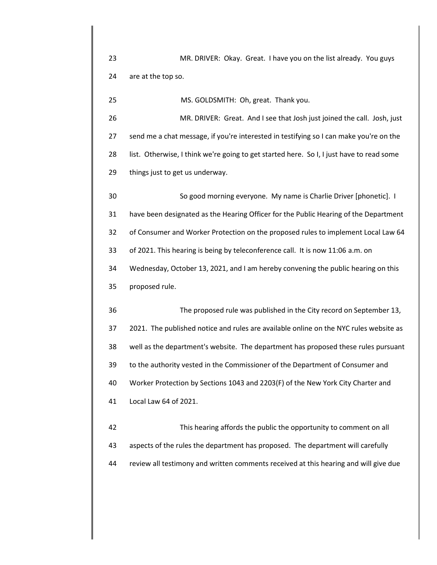MR. DRIVER: Okay. Great. I have you on the list already. You guys are at the top so. MS. GOLDSMITH: Oh, great. Thank you.

 MR. DRIVER: Great. And I see that Josh just joined the call. Josh, just send me a chat message, if you're interested in testifying so I can make you're on the list. Otherwise, I think we're going to get started here. So I, I just have to read some things just to get us underway.

 So good morning everyone. My name is Charlie Driver [phonetic]. I have been designated as the Hearing Officer for the Public Hearing of the Department of Consumer and Worker Protection on the proposed rules to implement Local Law 64 of 2021. This hearing is being by teleconference call. It is now 11:06 a.m. on Wednesday, October 13, 2021, and I am hereby convening the public hearing on this proposed rule.

 The proposed rule was published in the City record on September 13, 2021. The published notice and rules are available online on the NYC rules website as well as the department's website. The department has proposed these rules pursuant to the authority vested in the Commissioner of the Department of Consumer and Worker Protection by Sections 1043 and 2203(F) of the New York City Charter and Local Law 64 of 2021.

 This hearing affords the public the opportunity to comment on all aspects of the rules the department has proposed. The department will carefully review all testimony and written comments received at this hearing and will give due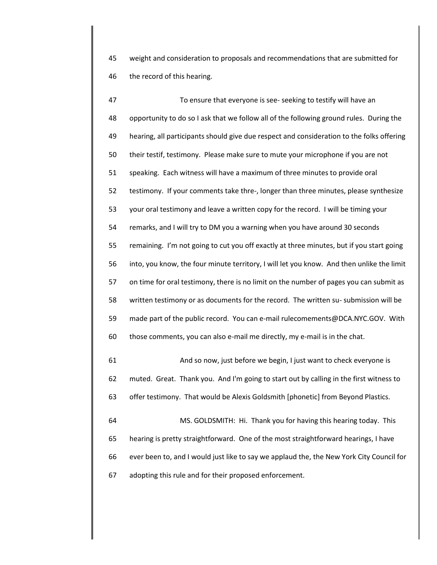weight and consideration to proposals and recommendations that are submitted for the record of this hearing.

 To ensure that everyone is see- seeking to testify will have an opportunity to do so I ask that we follow all of the following ground rules. During the hearing, all participants should give due respect and consideration to the folks offering their testif, testimony. Please make sure to mute your microphone if you are not speaking. Each witness will have a maximum of three minutes to provide oral testimony. If your comments take thre-, longer than three minutes, please synthesize your oral testimony and leave a written copy for the record. I will be timing your remarks, and I will try to DM you a warning when you have around 30 seconds remaining. I'm not going to cut you off exactly at three minutes, but if you start going into, you know, the four minute territory, I will let you know. And then unlike the limit on time for oral testimony, there is no limit on the number of pages you can submit as written testimony or as documents for the record. The written su- submission will be made part of the public record. You can e-mail rulecomements@DCA.NYC.GOV. With those comments, you can also e-mail me directly, my e-mail is in the chat.

 And so now, just before we begin, I just want to check everyone is muted. Great. Thank you. And I'm going to start out by calling in the first witness to offer testimony. That would be Alexis Goldsmith [phonetic] from Beyond Plastics.

 MS. GOLDSMITH: Hi. Thank you for having this hearing today. This hearing is pretty straightforward. One of the most straightforward hearings, I have ever been to, and I would just like to say we applaud the, the New York City Council for adopting this rule and for their proposed enforcement.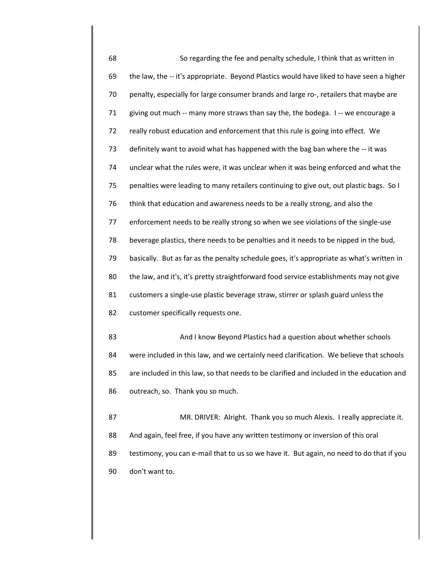| 68 | So regarding the fee and penalty schedule, I think that as written in                     |
|----|-------------------------------------------------------------------------------------------|
| 69 | the law, the -- it's appropriate. Beyond Plastics would have liked to have seen a higher  |
| 70 | penalty, especially for large consumer brands and large ro-, retailers that maybe are     |
| 71 | giving out much -- many more straws than say the, the bodega. I -- we encourage a         |
| 72 | really robust education and enforcement that this rule is going into effect. We           |
| 73 | definitely want to avoid what has happened with the bag ban where the -- it was           |
| 74 | unclear what the rules were, it was unclear when it was being enforced and what the       |
| 75 | penalties were leading to many retailers continuing to give out, out plastic bags. So I   |
| 76 | think that education and awareness needs to be a really strong, and also the              |
| 77 | enforcement needs to be really strong so when we see violations of the single-use         |
| 78 | beverage plastics, there needs to be penalties and it needs to be nipped in the bud,      |
| 79 | basically. But as far as the penalty schedule goes, it's appropriate as what's written in |
| 80 | the law, and it's, it's pretty straightforward food service establishments may not give   |
| 81 | customers a single-use plastic beverage straw, stirrer or splash guard unless the         |
| 82 | customer specifically requests one.                                                       |
| 83 | And I know Beyond Plastics had a question about whether schools                           |
| 84 | were included in this law, and we certainly need clarification. We believe that schools   |
| 85 | are included in this law, so that needs to be clarified and included in the education and |
| 86 | outreach, so. Thank you so much.                                                          |
|    |                                                                                           |

87 MR. DRIVER: Alright. Thank you so much Alexis. I really appreciate it. And again, feel free, if you have any written testimony or inversion of this oral 89 testimony, you can e-mail that to us so we have it. But again, no need to do that if you don't want to.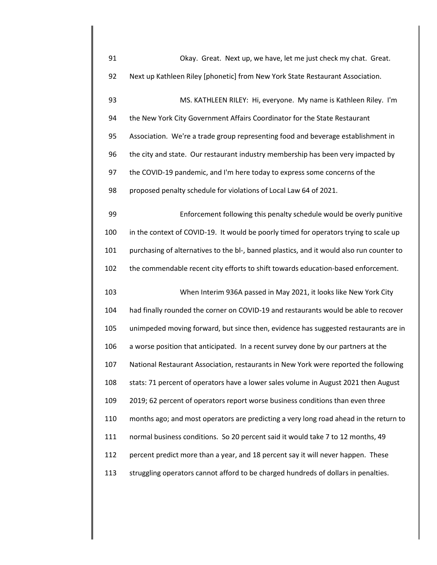| 91  | Okay. Great. Next up, we have, let me just check my chat. Great.                         |
|-----|------------------------------------------------------------------------------------------|
| 92  | Next up Kathleen Riley [phonetic] from New York State Restaurant Association.            |
| 93  | MS. KATHLEEN RILEY: Hi, everyone. My name is Kathleen Riley. I'm                         |
| 94  | the New York City Government Affairs Coordinator for the State Restaurant                |
| 95  | Association. We're a trade group representing food and beverage establishment in         |
| 96  | the city and state. Our restaurant industry membership has been very impacted by         |
| 97  | the COVID-19 pandemic, and I'm here today to express some concerns of the                |
| 98  | proposed penalty schedule for violations of Local Law 64 of 2021.                        |
| 99  | Enforcement following this penalty schedule would be overly punitive                     |
| 100 | in the context of COVID-19. It would be poorly timed for operators trying to scale up    |
| 101 | purchasing of alternatives to the bl-, banned plastics, and it would also run counter to |
| 102 | the commendable recent city efforts to shift towards education-based enforcement.        |
| 103 | When Interim 936A passed in May 2021, it looks like New York City                        |
| 104 | had finally rounded the corner on COVID-19 and restaurants would be able to recover      |
| 105 | unimpeded moving forward, but since then, evidence has suggested restaurants are in      |
| 106 | a worse position that anticipated. In a recent survey done by our partners at the        |
| 107 | National Restaurant Association, restaurants in New York were reported the following     |
| 108 | stats: 71 percent of operators have a lower sales volume in August 2021 then August      |
| 109 | 2019; 62 percent of operators report worse business conditions than even three           |
| 110 | months ago; and most operators are predicting a very long road ahead in the return to    |
| 111 | normal business conditions. So 20 percent said it would take 7 to 12 months, 49          |
| 112 | percent predict more than a year, and 18 percent say it will never happen. These         |
| 113 | struggling operators cannot afford to be charged hundreds of dollars in penalties.       |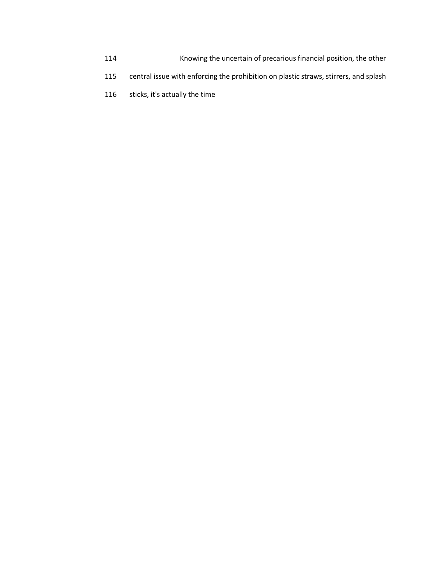- Knowing the uncertain of precarious financial position, the other
- central issue with enforcing the prohibition on plastic straws, stirrers, and splash
- sticks, it's actually the time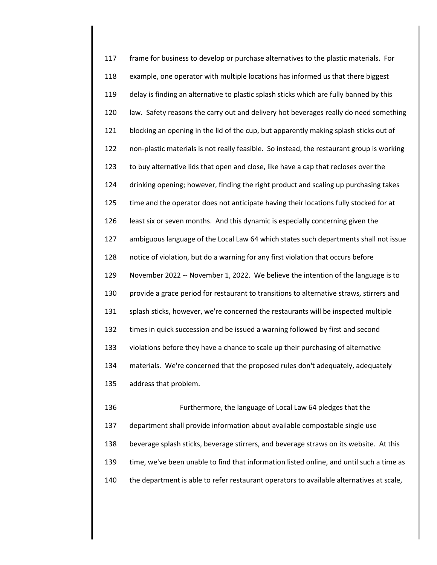frame for business to develop or purchase alternatives to the plastic materials. For example, one operator with multiple locations has informed us that there biggest delay is finding an alternative to plastic splash sticks which are fully banned by this law. Safety reasons the carry out and delivery hot beverages really do need something blocking an opening in the lid of the cup, but apparently making splash sticks out of non-plastic materials is not really feasible. So instead, the restaurant group is working to buy alternative lids that open and close, like have a cap that recloses over the drinking opening; however, finding the right product and scaling up purchasing takes time and the operator does not anticipate having their locations fully stocked for at least six or seven months. And this dynamic is especially concerning given the ambiguous language of the Local Law 64 which states such departments shall not issue notice of violation, but do a warning for any first violation that occurs before November 2022 -- November 1, 2022. We believe the intention of the language is to provide a grace period for restaurant to transitions to alternative straws, stirrers and splash sticks, however, we're concerned the restaurants will be inspected multiple times in quick succession and be issued a warning followed by first and second violations before they have a chance to scale up their purchasing of alternative materials. We're concerned that the proposed rules don't adequately, adequately address that problem.

 Furthermore, the language of Local Law 64 pledges that the department shall provide information about available compostable single use beverage splash sticks, beverage stirrers, and beverage straws on its website. At this time, we've been unable to find that information listed online, and until such a time as the department is able to refer restaurant operators to available alternatives at scale,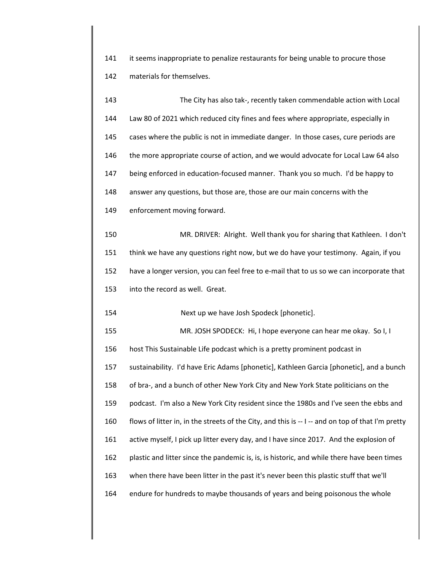it seems inappropriate to penalize restaurants for being unable to procure those materials for themselves.

 The City has also tak-, recently taken commendable action with Local Law 80 of 2021 which reduced city fines and fees where appropriate, especially in cases where the public is not in immediate danger. In those cases, cure periods are the more appropriate course of action, and we would advocate for Local Law 64 also being enforced in education-focused manner. Thank you so much. I'd be happy to answer any questions, but those are, those are our main concerns with the enforcement moving forward.

 MR. DRIVER: Alright. Well thank you for sharing that Kathleen. I don't think we have any questions right now, but we do have your testimony. Again, if you have a longer version, you can feel free to e-mail that to us so we can incorporate that into the record as well. Great.

Next up we have Josh Spodeck [phonetic].

 MR. JOSH SPODECK: Hi, I hope everyone can hear me okay. So I, I host This Sustainable Life podcast which is a pretty prominent podcast in sustainability. I'd have Eric Adams [phonetic], Kathleen Garcia [phonetic], and a bunch of bra-, and a bunch of other New York City and New York State politicians on the podcast. I'm also a New York City resident since the 1980s and I've seen the ebbs and flows of litter in, in the streets of the City, and this is -- I -- and on top of that I'm pretty active myself, I pick up litter every day, and I have since 2017. And the explosion of plastic and litter since the pandemic is, is, is historic, and while there have been times when there have been litter in the past it's never been this plastic stuff that we'll endure for hundreds to maybe thousands of years and being poisonous the whole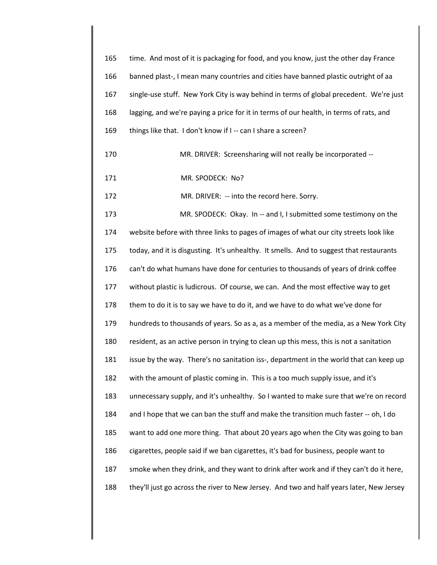| 165 | time. And most of it is packaging for food, and you know, just the other day France      |
|-----|------------------------------------------------------------------------------------------|
| 166 | banned plast-, I mean many countries and cities have banned plastic outright of aa       |
| 167 | single-use stuff. New York City is way behind in terms of global precedent. We're just   |
| 168 | lagging, and we're paying a price for it in terms of our health, in terms of rats, and   |
| 169 | things like that. I don't know if I -- can I share a screen?                             |
| 170 | MR. DRIVER: Screensharing will not really be incorporated --                             |
| 171 | MR. SPODECK: No?                                                                         |
| 172 | MR. DRIVER: -- into the record here. Sorry.                                              |
| 173 | MR. SPODECK: Okay. In -- and I, I submitted some testimony on the                        |
| 174 | website before with three links to pages of images of what our city streets look like    |
| 175 | today, and it is disgusting. It's unhealthy. It smells. And to suggest that restaurants  |
| 176 | can't do what humans have done for centuries to thousands of years of drink coffee       |
| 177 | without plastic is ludicrous. Of course, we can. And the most effective way to get       |
| 178 | them to do it is to say we have to do it, and we have to do what we've done for          |
| 179 | hundreds to thousands of years. So as a, as a member of the media, as a New York City    |
| 180 | resident, as an active person in trying to clean up this mess, this is not a sanitation  |
| 181 | issue by the way. There's no sanitation iss-, department in the world that can keep up   |
| 182 | with the amount of plastic coming in. This is a too much supply issue, and it's          |
| 183 | unnecessary supply, and it's unhealthy. So I wanted to make sure that we're on record    |
| 184 | and I hope that we can ban the stuff and make the transition much faster -- oh, I do     |
| 185 | want to add one more thing. That about 20 years ago when the City was going to ban       |
| 186 | cigarettes, people said if we ban cigarettes, it's bad for business, people want to      |
| 187 | smoke when they drink, and they want to drink after work and if they can't do it here,   |
| 188 | they'll just go across the river to New Jersey. And two and half years later, New Jersey |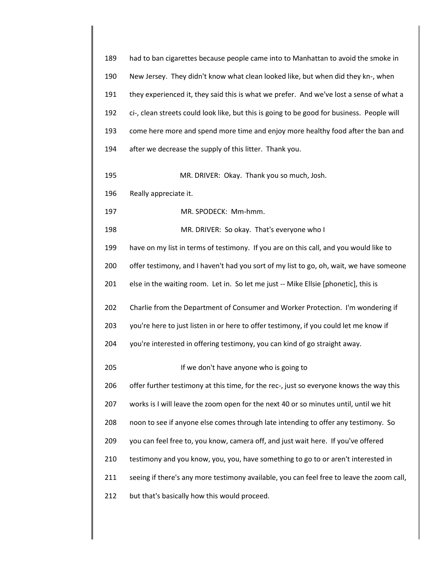| 189 | had to ban cigarettes because people came into to Manhattan to avoid the smoke in          |
|-----|--------------------------------------------------------------------------------------------|
| 190 | New Jersey. They didn't know what clean looked like, but when did they kn-, when           |
| 191 | they experienced it, they said this is what we prefer. And we've lost a sense of what a    |
| 192 | ci-, clean streets could look like, but this is going to be good for business. People will |
| 193 | come here more and spend more time and enjoy more healthy food after the ban and           |
| 194 | after we decrease the supply of this litter. Thank you.                                    |
| 195 | MR. DRIVER: Okay. Thank you so much, Josh.                                                 |
| 196 | Really appreciate it.                                                                      |
| 197 | MR. SPODECK: Mm-hmm.                                                                       |
| 198 | MR. DRIVER: So okay. That's everyone who I                                                 |
| 199 | have on my list in terms of testimony. If you are on this call, and you would like to      |
| 200 | offer testimony, and I haven't had you sort of my list to go, oh, wait, we have someone    |
| 201 | else in the waiting room. Let in. So let me just -- Mike Ellsie [phonetic], this is        |
| 202 | Charlie from the Department of Consumer and Worker Protection. I'm wondering if            |
| 203 | you're here to just listen in or here to offer testimony, if you could let me know if      |
| 204 | you're interested in offering testimony, you can kind of go straight away.                 |
| 205 | If we don't have anyone who is going to                                                    |
| 206 | offer further testimony at this time, for the rec-, just so everyone knows the way this    |
| 207 | works is I will leave the zoom open for the next 40 or so minutes until, until we hit      |
| 208 | noon to see if anyone else comes through late intending to offer any testimony. So         |
| 209 | you can feel free to, you know, camera off, and just wait here. If you've offered          |
| 210 | testimony and you know, you, you, have something to go to or aren't interested in          |
| 211 | seeing if there's any more testimony available, you can feel free to leave the zoom call,  |
| 212 | but that's basically how this would proceed.                                               |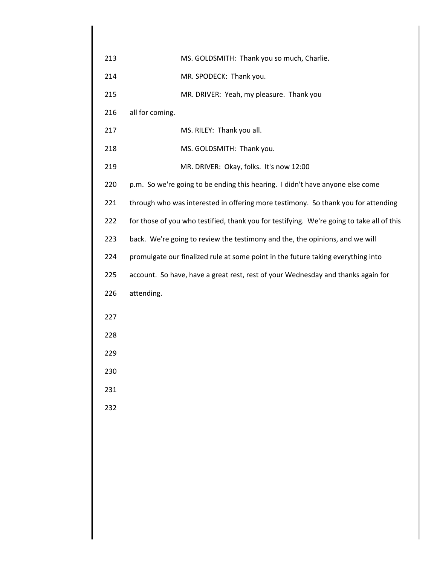| 213 | MS. GOLDSMITH: Thank you so much, Charlie.                                                |
|-----|-------------------------------------------------------------------------------------------|
| 214 | MR. SPODECK: Thank you.                                                                   |
| 215 | MR. DRIVER: Yeah, my pleasure. Thank you                                                  |
| 216 | all for coming.                                                                           |
| 217 | MS. RILEY: Thank you all.                                                                 |
| 218 | MS. GOLDSMITH: Thank you.                                                                 |
| 219 | MR. DRIVER: Okay, folks. It's now 12:00                                                   |
| 220 | p.m. So we're going to be ending this hearing. I didn't have anyone else come             |
| 221 | through who was interested in offering more testimony. So thank you for attending         |
| 222 | for those of you who testified, thank you for testifying. We're going to take all of this |
| 223 | back. We're going to review the testimony and the, the opinions, and we will              |
| 224 | promulgate our finalized rule at some point in the future taking everything into          |
| 225 | account. So have, have a great rest, rest of your Wednesday and thanks again for          |
| 226 | attending.                                                                                |
| 227 |                                                                                           |
| 228 |                                                                                           |
| 229 |                                                                                           |
| 230 |                                                                                           |
| 231 |                                                                                           |
| 232 |                                                                                           |
|     |                                                                                           |
|     |                                                                                           |